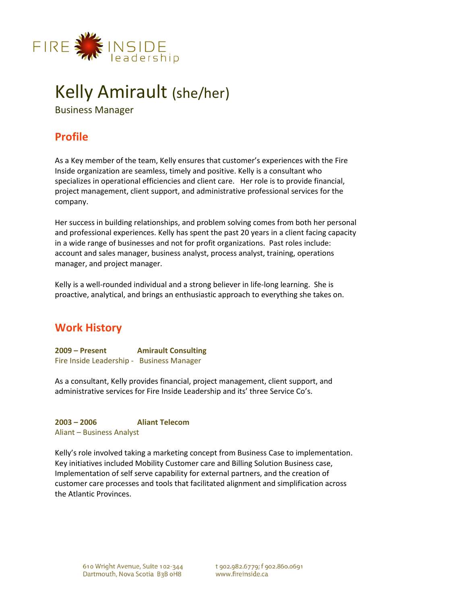

# Kelly Amirault (she/her)

Business Manager

# **Profile**

As a Key member of the team, Kelly ensures that customer's experiences with the Fire Inside organization are seamless, timely and positive. Kelly is a consultant who specializes in operational efficiencies and client care. Her role is to provide financial, project management, client support, and administrative professional services for the company.

Her success in building relationships, and problem solving comes from both her personal and professional experiences. Kelly has spent the past 20 years in a client facing capacity in a wide range of businesses and not for profit organizations. Past roles include: account and sales manager, business analyst, process analyst, training, operations manager, and project manager.

Kelly is a well-rounded individual and a strong believer in life-long learning. She is proactive, analytical, and brings an enthusiastic approach to everything she takes on.

# **Work History**

**2009 – Present Amirault Consulting**  Fire Inside Leadership - Business Manager

As a consultant, Kelly provides financial, project management, client support, and administrative services for Fire Inside Leadership and its' three Service Co's.

**2003 – 2006 Aliant Telecom**  Aliant – Business Analyst

Kelly's role involved taking a marketing concept from Business Case to implementation. Key initiatives included Mobility Customer care and Billing Solution Business case, Implementation of self serve capability for external partners, and the creation of customer care processes and tools that facilitated alignment and simplification across the Atlantic Provinces.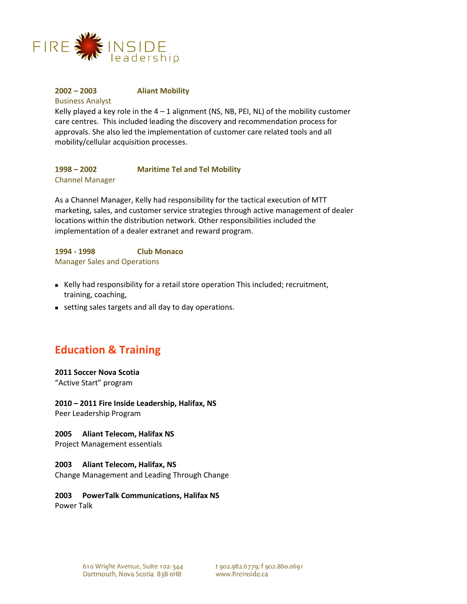

**2002 – 2003 Aliant Mobility**  Business Analyst Kelly played a key role in the  $4 - 1$  alignment (NS, NB, PEI, NL) of the mobility customer care centres. This included leading the discovery and recommendation process for approvals. She also led the implementation of customer care related tools and all mobility/cellular acquisition processes.

### **1998 – 2002 Maritime Tel and Tel Mobility**  Channel Manager

As a Channel Manager, Kelly had responsibility for the tactical execution of MTT marketing, sales, and customer service strategies through active management of dealer locations within the distribution network. Other responsibilities included the implementation of a dealer extranet and reward program.

# **1994 - 1998 Club Monaco**

Manager Sales and Operations

- Kelly had responsibility for a retail store operation This included; recruitment, training, coaching,
- setting sales targets and all day to day operations.

# **Education & Training**

### **2011 Soccer Nova Scotia**

"Active Start" program

## **2010 – 2011 Fire Inside Leadership, Halifax, NS**

Peer Leadership Program

### **2005 Aliant Telecom, Halifax NS**

Project Management essentials

### **2003 Aliant Telecom, Halifax, NS**

Change Management and Leading Through Change

#### **2003 PowerTalk Communications, Halifax NS**  Power Talk